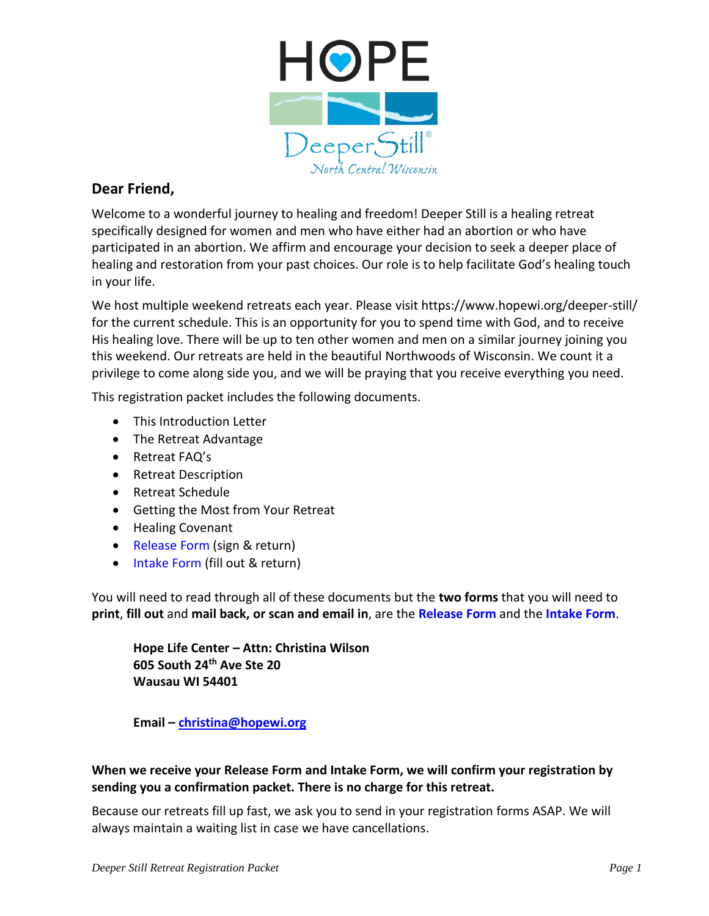

### **Dear Friend,**

Welcome to a wonderful journey to healing and freedom! Deeper Still is a healing retreat specifically designed for women and men who have either had an abortion or who have participated in an abortion. We affirm and encourage your decision to seek a deeper place of healing and restoration from your past choices. Our role is to help facilitate God's healing touch in your life.

We host multiple weekend retreats each year. Please visit https://www.hopewi.org/deeper-still/ for the current schedule. This is an opportunity for you to spend time with God, and to receive His healing love. There will be up to ten other women and men on a similar journey joining you this weekend. Our retreats are held in the beautiful Northwoods of Wisconsin. We count it a privilege to come along side you, and we will be praying that you receive everything you need.

This registration packet includes the following documents.

- This Introduction Letter
- The Retreat Advantage
- Retreat FAQ's
- Retreat Description
- Retreat Schedule
- Getting the Most from Your Retreat
- Healing Covenant
- Release Form (sign & return)
- Intake Form (fill out & return)

You will need to read through all of these documents but the **two forms** that you will need to **print**, **fill out** and **mail back, or scan and email in**, are the **Release Form** and the **Intake Form**.

**Hope Life Center – Attn: Christina Wilson 605 South 24th Ave Ste 20 Wausau WI 54401**

**Email – [christina@hopewi.org](mailto:christina@hopewi.org)**

### **When we receive your Release Form and Intake Form, we will confirm your registration by sending you a confirmation packet. There is no charge for this retreat.**

Because our retreats fill up fast, we ask you to send in your registration forms ASAP. We will always maintain a waiting list in case we have cancellations.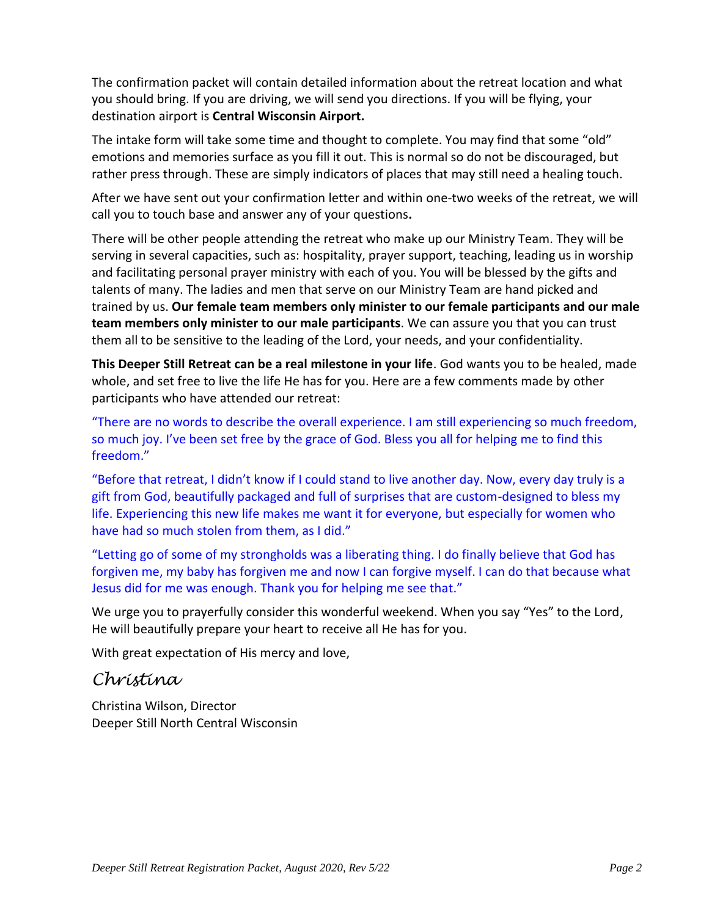The confirmation packet will contain detailed information about the retreat location and what you should bring. If you are driving, we will send you directions. If you will be flying, your destination airport is **Central Wisconsin Airport.**

The intake form will take some time and thought to complete. You may find that some "old" emotions and memories surface as you fill it out. This is normal so do not be discouraged, but rather press through. These are simply indicators of places that may still need a healing touch.

After we have sent out your confirmation letter and within one-two weeks of the retreat, we will call you to touch base and answer any of your questions**.** 

There will be other people attending the retreat who make up our Ministry Team. They will be serving in several capacities, such as: hospitality, prayer support, teaching, leading us in worship and facilitating personal prayer ministry with each of you. You will be blessed by the gifts and talents of many. The ladies and men that serve on our Ministry Team are hand picked and trained by us. **Our female team members only minister to our female participants and our male team members only minister to our male participants**. We can assure you that you can trust them all to be sensitive to the leading of the Lord, your needs, and your confidentiality.

**This Deeper Still Retreat can be a real milestone in your life**. God wants you to be healed, made whole, and set free to live the life He has for you. Here are a few comments made by other participants who have attended our retreat:

"There are no words to describe the overall experience. I am still experiencing so much freedom, so much joy. I've been set free by the grace of God. Bless you all for helping me to find this freedom."

"Before that retreat, I didn't know if I could stand to live another day. Now, every day truly is a gift from God, beautifully packaged and full of surprises that are custom-designed to bless my life. Experiencing this new life makes me want it for everyone, but especially for women who have had so much stolen from them, as I did."

"Letting go of some of my strongholds was a liberating thing. I do finally believe that God has forgiven me, my baby has forgiven me and now I can forgive myself. I can do that because what Jesus did for me was enough. Thank you for helping me see that."

We urge you to prayerfully consider this wonderful weekend. When you say "Yes" to the Lord, He will beautifully prepare your heart to receive all He has for you.

With great expectation of His mercy and love,

### *Christina*

Christina Wilson, Director Deeper Still North Central Wisconsin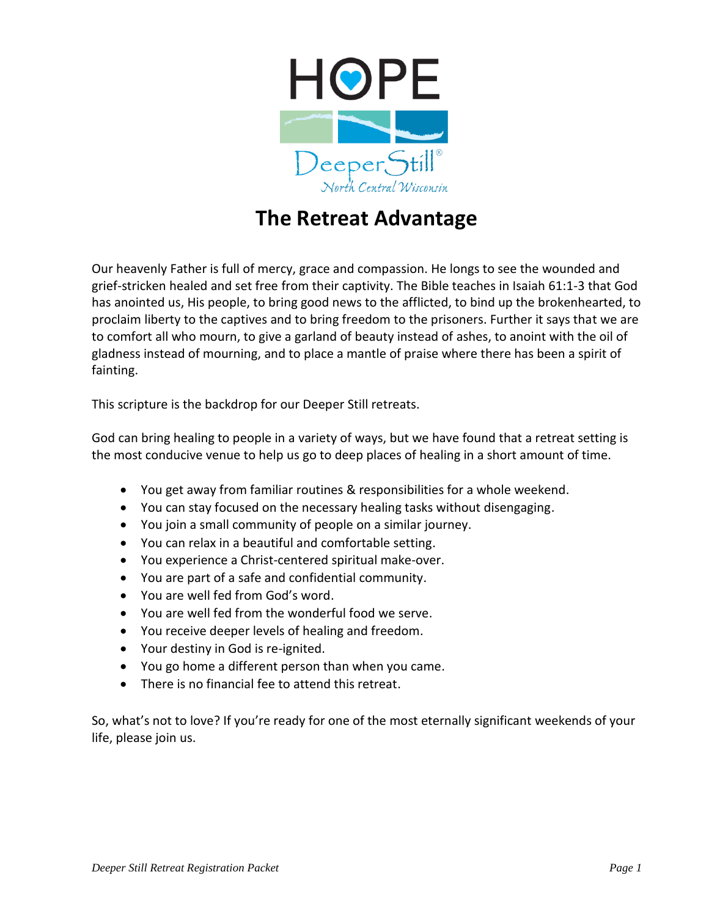

## **The Retreat Advantage**

Our heavenly Father is full of mercy, grace and compassion. He longs to see the wounded and grief-stricken healed and set free from their captivity. The Bible teaches in Isaiah 61:1-3 that God has anointed us, His people, to bring good news to the afflicted, to bind up the brokenhearted, to proclaim liberty to the captives and to bring freedom to the prisoners. Further it says that we are to comfort all who mourn, to give a garland of beauty instead of ashes, to anoint with the oil of gladness instead of mourning, and to place a mantle of praise where there has been a spirit of fainting.

This scripture is the backdrop for our Deeper Still retreats.

God can bring healing to people in a variety of ways, but we have found that a retreat setting is the most conducive venue to help us go to deep places of healing in a short amount of time.

- You get away from familiar routines & responsibilities for a whole weekend.
- You can stay focused on the necessary healing tasks without disengaging.
- You join a small community of people on a similar journey.
- You can relax in a beautiful and comfortable setting.
- You experience a Christ-centered spiritual make-over.
- You are part of a safe and confidential community.
- You are well fed from God's word.
- You are well fed from the wonderful food we serve.
- You receive deeper levels of healing and freedom.
- Your destiny in God is re-ignited.
- You go home a different person than when you came.
- There is no financial fee to attend this retreat.

So, what's not to love? If you're ready for one of the most eternally significant weekends of your life, please join us.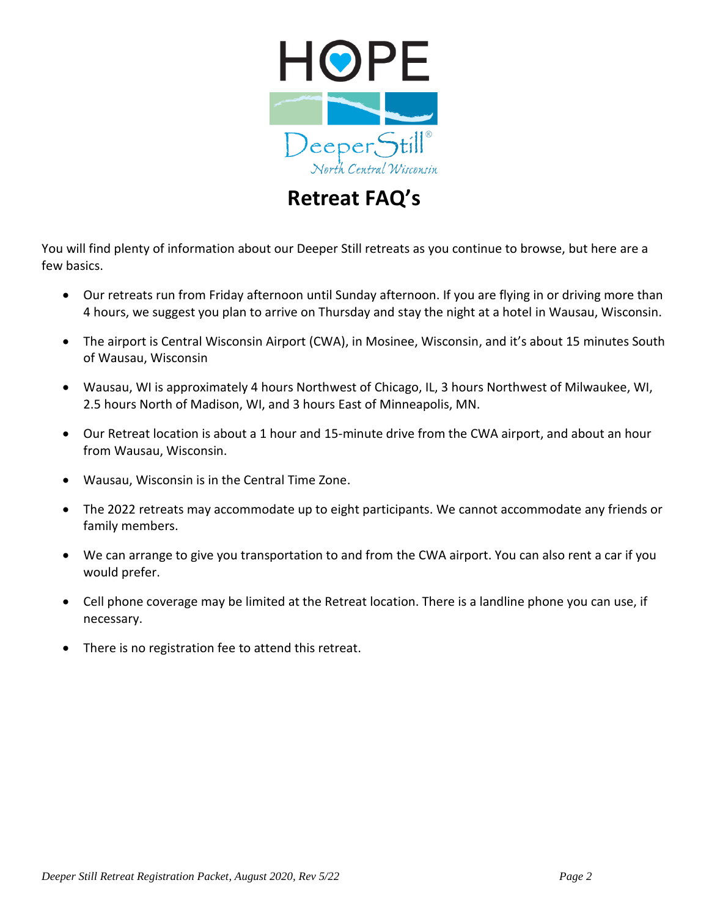

## **Retreat FAQ's**

You will find plenty of information about our Deeper Still retreats as you continue to browse, but here are a few basics.

- Our retreats run from Friday afternoon until Sunday afternoon. If you are flying in or driving more than 4 hours, we suggest you plan to arrive on Thursday and stay the night at a hotel in Wausau, Wisconsin.
- The airport is Central Wisconsin Airport (CWA), in Mosinee, Wisconsin, and it's about 15 minutes South of Wausau, Wisconsin
- Wausau, WI is approximately 4 hours Northwest of Chicago, IL, 3 hours Northwest of Milwaukee, WI, 2.5 hours North of Madison, WI, and 3 hours East of Minneapolis, MN.
- Our Retreat location is about a 1 hour and 15-minute drive from the CWA airport, and about an hour from Wausau, Wisconsin.
- Wausau, Wisconsin is in the Central Time Zone.
- The 2022 retreats may accommodate up to eight participants. We cannot accommodate any friends or family members.
- We can arrange to give you transportation to and from the CWA airport. You can also rent a car if you would prefer.
- Cell phone coverage may be limited at the Retreat location. There is a landline phone you can use, if necessary.
- There is no registration fee to attend this retreat.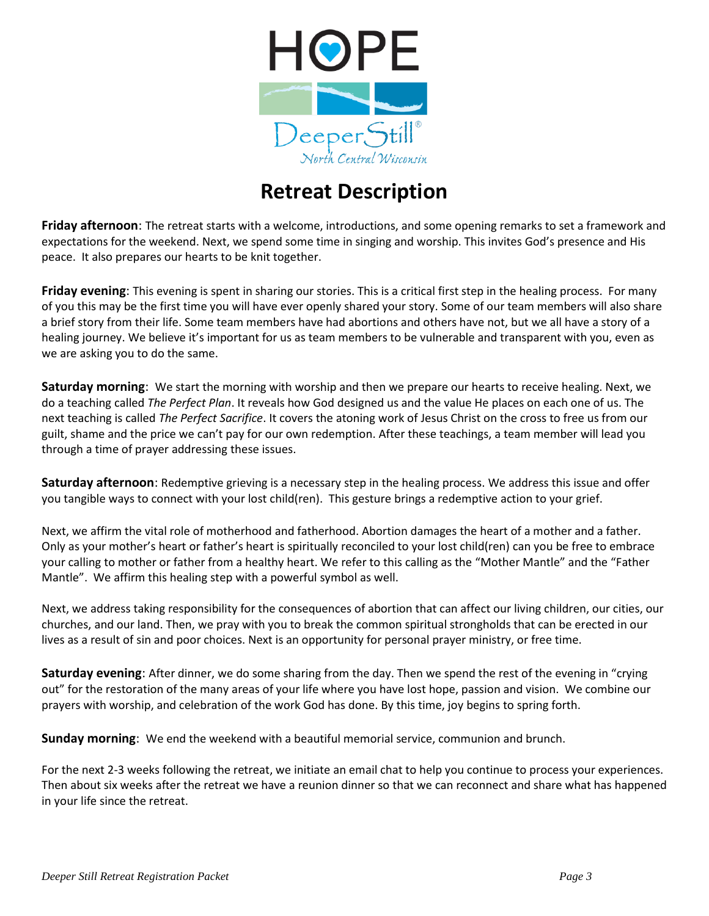

## **Retreat Description**

**Friday afternoon**: The retreat starts with a welcome, introductions, and some opening remarks to set a framework and expectations for the weekend. Next, we spend some time in singing and worship. This invites God's presence and His peace. It also prepares our hearts to be knit together.

**Friday evening**: This evening is spent in sharing our stories. This is a critical first step in the healing process. For many of you this may be the first time you will have ever openly shared your story. Some of our team members will also share a brief story from their life. Some team members have had abortions and others have not, but we all have a story of a healing journey. We believe it's important for us as team members to be vulnerable and transparent with you, even as we are asking you to do the same.

**Saturday morning**: We start the morning with worship and then we prepare our hearts to receive healing. Next, we do a teaching called *The Perfect Plan*. It reveals how God designed us and the value He places on each one of us. The next teaching is called *The Perfect Sacrifice*. It covers the atoning work of Jesus Christ on the cross to free us from our guilt, shame and the price we can't pay for our own redemption. After these teachings, a team member will lead you through a time of prayer addressing these issues.

**Saturday afternoon**: Redemptive grieving is a necessary step in the healing process. We address this issue and offer you tangible ways to connect with your lost child(ren). This gesture brings a redemptive action to your grief.

Next, we affirm the vital role of motherhood and fatherhood. Abortion damages the heart of a mother and a father. Only as your mother's heart or father's heart is spiritually reconciled to your lost child(ren) can you be free to embrace your calling to mother or father from a healthy heart. We refer to this calling as the "Mother Mantle" and the "Father Mantle". We affirm this healing step with a powerful symbol as well.

Next, we address taking responsibility for the consequences of abortion that can affect our living children, our cities, our churches, and our land. Then, we pray with you to break the common spiritual strongholds that can be erected in our lives as a result of sin and poor choices. Next is an opportunity for personal prayer ministry, or free time.

**Saturday evening**: After dinner, we do some sharing from the day. Then we spend the rest of the evening in "crying out" for the restoration of the many areas of your life where you have lost hope, passion and vision. We combine our prayers with worship, and celebration of the work God has done. By this time, joy begins to spring forth.

**Sunday morning**: We end the weekend with a beautiful memorial service, communion and brunch.

For the next 2-3 weeks following the retreat, we initiate an email chat to help you continue to process your experiences. Then about six weeks after the retreat we have a reunion dinner so that we can reconnect and share what has happened in your life since the retreat.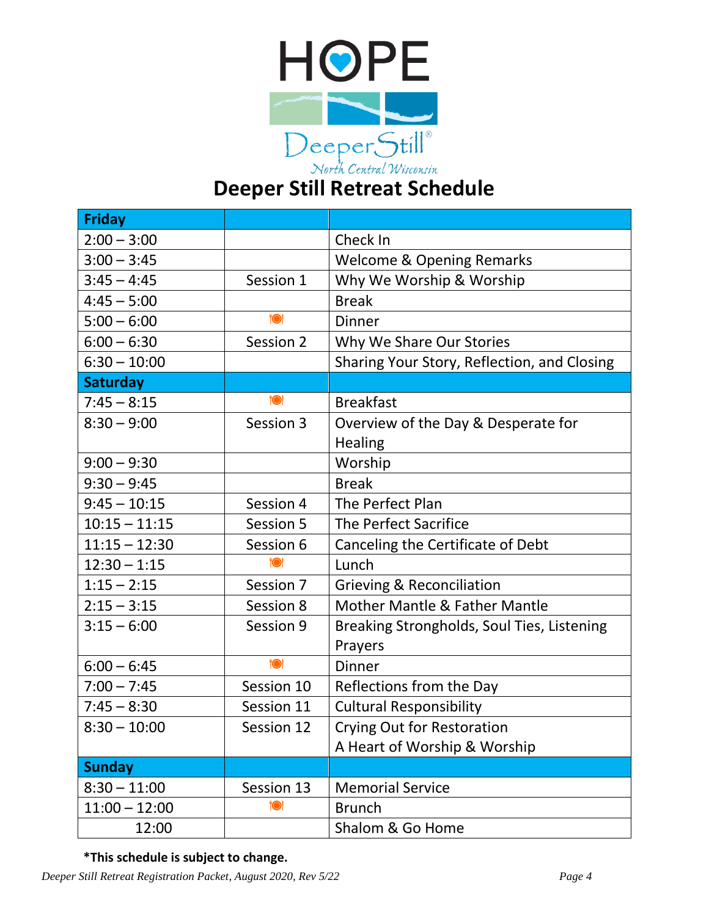

| <b>Friday</b>   |            |                                             |  |
|-----------------|------------|---------------------------------------------|--|
| $2:00 - 3:00$   |            | Check In                                    |  |
| $3:00 - 3:45$   |            | <b>Welcome &amp; Opening Remarks</b>        |  |
| $3:45 - 4:45$   | Session 1  | Why We Worship & Worship                    |  |
| $4:45 - 5:00$   |            | <b>Break</b>                                |  |
| $5:00 - 6:00$   | <b>1</b>   | <b>Dinner</b>                               |  |
| $6:00 - 6:30$   | Session 2  | Why We Share Our Stories                    |  |
| $6:30 - 10:00$  |            | Sharing Your Story, Reflection, and Closing |  |
| <b>Saturday</b> |            |                                             |  |
| $7:45 - 8:15$   | $\bullet$  | <b>Breakfast</b>                            |  |
| $8:30 - 9:00$   | Session 3  | Overview of the Day & Desperate for         |  |
|                 |            | <b>Healing</b>                              |  |
| $9:00 - 9:30$   |            | Worship                                     |  |
| $9:30 - 9:45$   |            | <b>Break</b>                                |  |
| $9:45 - 10:15$  | Session 4  | The Perfect Plan                            |  |
| $10:15 - 11:15$ | Session 5  | <b>The Perfect Sacrifice</b>                |  |
| $11:15 - 12:30$ | Session 6  | Canceling the Certificate of Debt           |  |
| $12:30 - 1:15$  | <b>10</b>  | Lunch                                       |  |
| $1:15 - 2:15$   | Session 7  | <b>Grieving &amp; Reconciliation</b>        |  |
| $2:15 - 3:15$   | Session 8  | <b>Mother Mantle &amp; Father Mantle</b>    |  |
| $3:15 - 6:00$   | Session 9  | Breaking Strongholds, Soul Ties, Listening  |  |
|                 |            | Prayers                                     |  |
| $6:00 - 6:45$   | <b>O</b>   | <b>Dinner</b>                               |  |
| $7:00 - 7:45$   | Session 10 | Reflections from the Day                    |  |
| $7:45 - 8:30$   | Session 11 | <b>Cultural Responsibility</b>              |  |
| $8:30 - 10:00$  | Session 12 | <b>Crying Out for Restoration</b>           |  |
|                 |            | A Heart of Worship & Worship                |  |
| <b>Sunday</b>   |            |                                             |  |
| $8:30 - 11:00$  | Session 13 | <b>Memorial Service</b>                     |  |
| $11:00 - 12:00$ | <b>1</b>   | <b>Brunch</b>                               |  |
| 12:00           |            | Shalom & Go Home                            |  |

**\*This schedule is subject to change.**

*Deeper Still Retreat Registration Packet, August 2020, Rev 5/22 Page 4*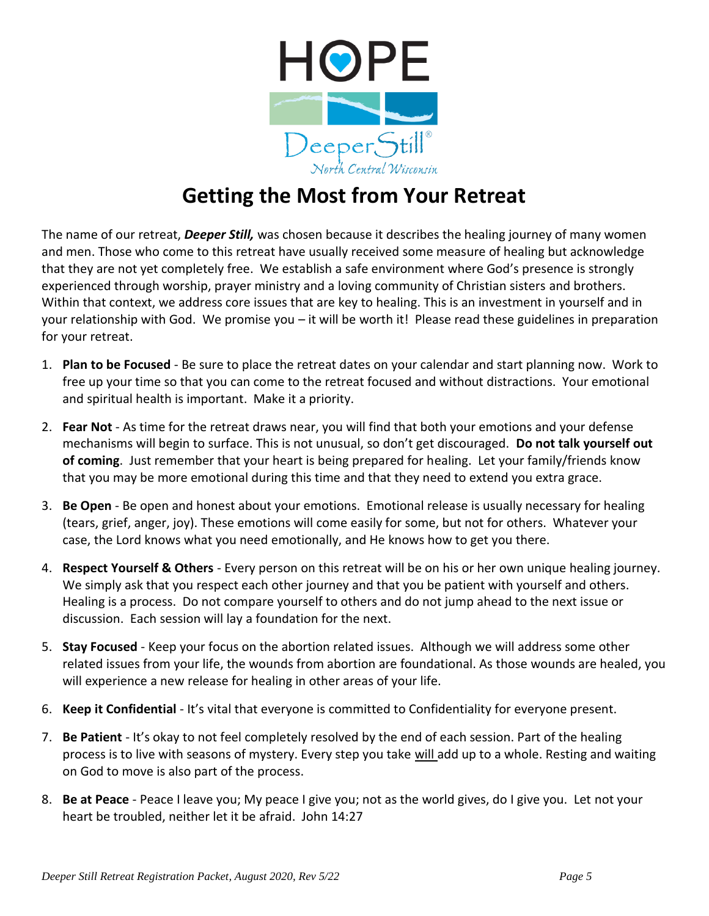

# **Getting the Most from Your Retreat**

The name of our retreat, *Deeper Still,* was chosen because it describes the healing journey of many women and men. Those who come to this retreat have usually received some measure of healing but acknowledge that they are not yet completely free. We establish a safe environment where God's presence is strongly experienced through worship, prayer ministry and a loving community of Christian sisters and brothers. Within that context, we address core issues that are key to healing. This is an investment in yourself and in your relationship with God. We promise you – it will be worth it! Please read these guidelines in preparation for your retreat.

- 1. **Plan to be Focused** Be sure to place the retreat dates on your calendar and start planning now. Work to free up your time so that you can come to the retreat focused and without distractions. Your emotional and spiritual health is important. Make it a priority.
- 2. **Fear Not** As time for the retreat draws near, you will find that both your emotions and your defense mechanisms will begin to surface. This is not unusual, so don't get discouraged. **Do not talk yourself out of coming**. Just remember that your heart is being prepared for healing.Let your family/friends know that you may be more emotional during this time and that they need to extend you extra grace.
- 3. **Be Open** Be open and honest about your emotions. Emotional release is usually necessary for healing (tears, grief, anger, joy). These emotions will come easily for some, but not for others. Whatever your case, the Lord knows what you need emotionally, and He knows how to get you there.
- 4. **Respect Yourself & Others** Every person on this retreat will be on his or her own unique healing journey. We simply ask that you respect each other journey and that you be patient with yourself and others. Healing is a process. Do not compare yourself to others and do not jump ahead to the next issue or discussion. Each session will lay a foundation for the next.
- 5. **Stay Focused** Keep your focus on the abortion related issues. Although we will address some other related issues from your life, the wounds from abortion are foundational. As those wounds are healed, you will experience a new release for healing in other areas of your life.
- 6. **Keep it Confidential** It's vital that everyone is committed to Confidentiality for everyone present.
- 7. **Be Patient** It's okay to not feel completely resolved by the end of each session. Part of the healing process is to live with seasons of mystery. Every step you take will add up to a whole. Resting and waiting on God to move is also part of the process.
- 8. **Be at Peace** Peace I leave you; My peace I give you; not as the world gives, do I give you. Let not your heart be troubled, neither let it be afraid. John 14:27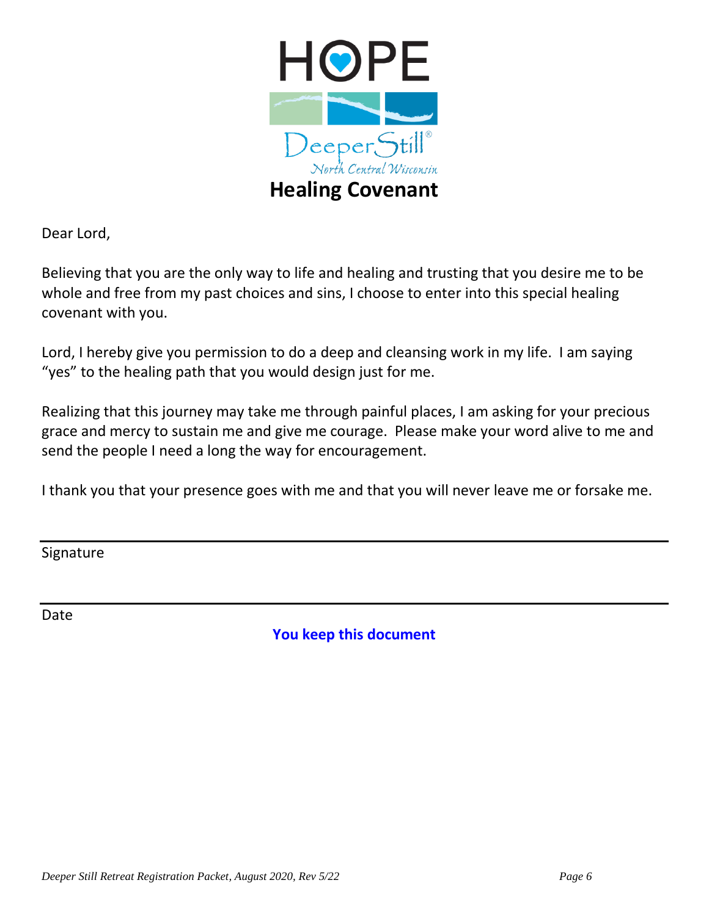

Dear Lord,

Believing that you are the only way to life and healing and trusting that you desire me to be whole and free from my past choices and sins, I choose to enter into this special healing covenant with you.

Lord, I hereby give you permission to do a deep and cleansing work in my life. I am saying "yes" to the healing path that you would design just for me.

Realizing that this journey may take me through painful places, I am asking for your precious grace and mercy to sustain me and give me courage. Please make your word alive to me and send the people I need a long the way for encouragement.

I thank you that your presence goes with me and that you will never leave me or forsake me.

Signature

Date

**You keep this document**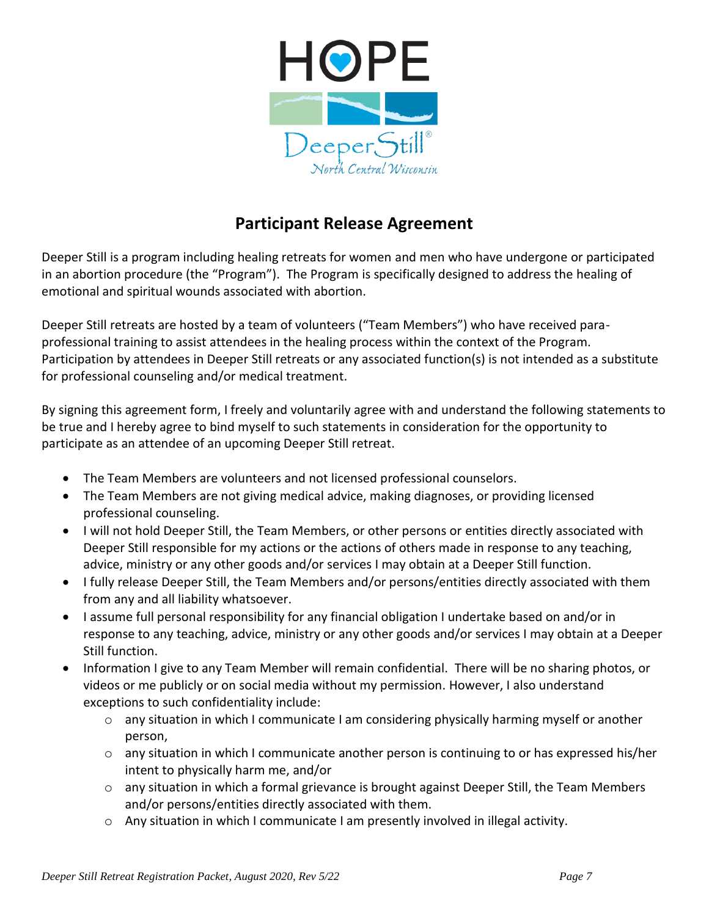

### **Participant Release Agreement**

Deeper Still is a program including healing retreats for women and men who have undergone or participated in an abortion procedure (the "Program"). The Program is specifically designed to address the healing of emotional and spiritual wounds associated with abortion.

Deeper Still retreats are hosted by a team of volunteers ("Team Members") who have received paraprofessional training to assist attendees in the healing process within the context of the Program. Participation by attendees in Deeper Still retreats or any associated function(s) is not intended as a substitute for professional counseling and/or medical treatment.

By signing this agreement form, I freely and voluntarily agree with and understand the following statements to be true and I hereby agree to bind myself to such statements in consideration for the opportunity to participate as an attendee of an upcoming Deeper Still retreat.

- The Team Members are volunteers and not licensed professional counselors.
- The Team Members are not giving medical advice, making diagnoses, or providing licensed professional counseling.
- I will not hold Deeper Still, the Team Members, or other persons or entities directly associated with Deeper Still responsible for my actions or the actions of others made in response to any teaching, advice, ministry or any other goods and/or services I may obtain at a Deeper Still function.
- I fully release Deeper Still, the Team Members and/or persons/entities directly associated with them from any and all liability whatsoever.
- I assume full personal responsibility for any financial obligation I undertake based on and/or in response to any teaching, advice, ministry or any other goods and/or services I may obtain at a Deeper Still function.
- Information I give to any Team Member will remain confidential. There will be no sharing photos, or videos or me publicly or on social media without my permission. However, I also understand exceptions to such confidentiality include:
	- o any situation in which I communicate I am considering physically harming myself or another person,
	- $\circ$  any situation in which I communicate another person is continuing to or has expressed his/her intent to physically harm me, and/or
	- $\circ$  any situation in which a formal grievance is brought against Deeper Still, the Team Members and/or persons/entities directly associated with them.
	- $\circ$  Any situation in which I communicate I am presently involved in illegal activity.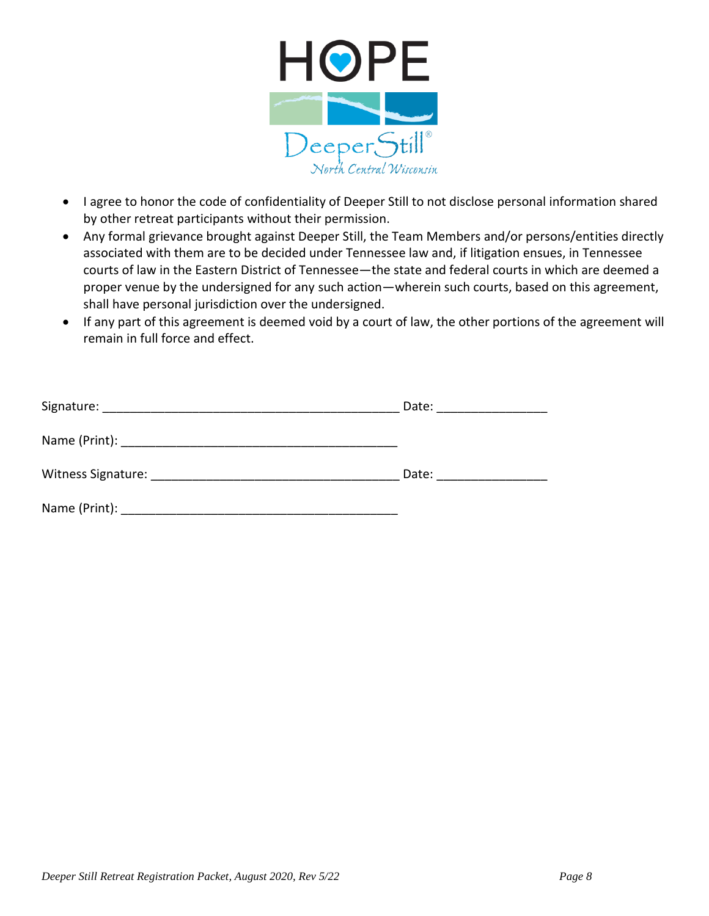

- I agree to honor the code of confidentiality of Deeper Still to not disclose personal information shared by other retreat participants without their permission.
- Any formal grievance brought against Deeper Still, the Team Members and/or persons/entities directly associated with them are to be decided under Tennessee law and, if litigation ensues, in Tennessee courts of law in the Eastern District of Tennessee—the state and federal courts in which are deemed a proper venue by the undersigned for any such action—wherein such courts, based on this agreement, shall have personal jurisdiction over the undersigned.
- If any part of this agreement is deemed void by a court of law, the other portions of the agreement will remain in full force and effect.

| Signature:         | Date: |
|--------------------|-------|
|                    |       |
| Witness Signature: | Date: |
| Name (Print): _    |       |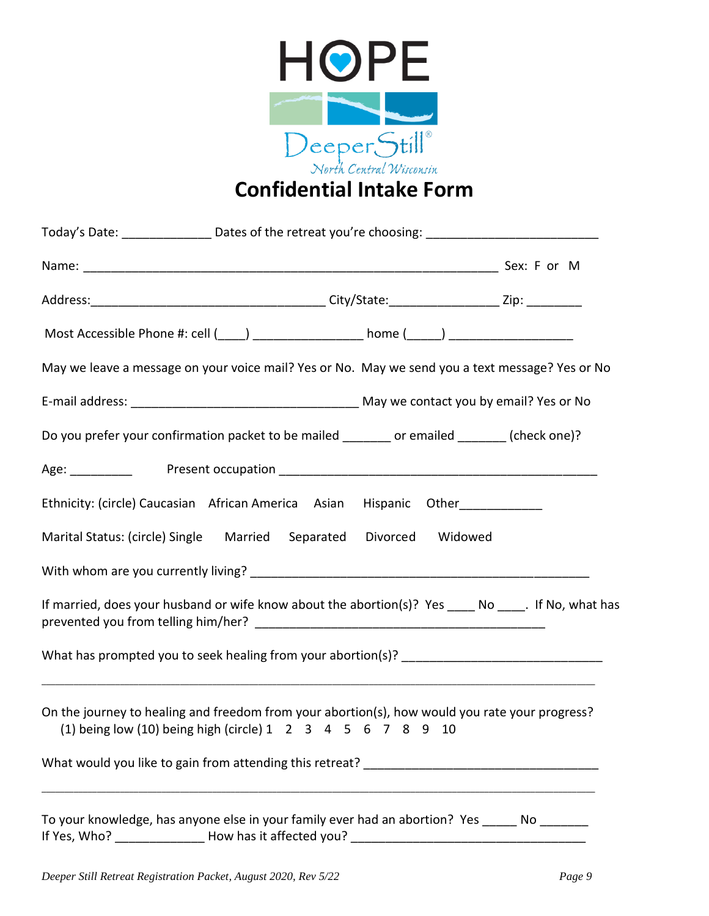

# **Confidential Intake Form**

| Today's Date: __________________Dates of the retreat you're choosing: _____________________________                                                           |  |  |
|---------------------------------------------------------------------------------------------------------------------------------------------------------------|--|--|
|                                                                                                                                                               |  |  |
|                                                                                                                                                               |  |  |
|                                                                                                                                                               |  |  |
| May we leave a message on your voice mail? Yes or No. May we send you a text message? Yes or No                                                               |  |  |
|                                                                                                                                                               |  |  |
| Do you prefer your confirmation packet to be mailed ______ or emailed ______ (check one)?                                                                     |  |  |
|                                                                                                                                                               |  |  |
| Ethnicity: (circle) Caucasian African America Asian Hispanic Other_____________                                                                               |  |  |
| Marital Status: (circle) Single Married Separated Divorced Widowed                                                                                            |  |  |
|                                                                                                                                                               |  |  |
| If married, does your husband or wife know about the abortion(s)? Yes _____ No _____. If No, what has                                                         |  |  |
|                                                                                                                                                               |  |  |
| On the journey to healing and freedom from your abortion(s), how would you rate your progress?<br>(1) being low (10) being high (circle) 1 2 3 4 5 6 7 8 9 10 |  |  |
|                                                                                                                                                               |  |  |
| To your knowledge, has anyone else in your family ever had an abortion? Yes _____ No _______                                                                  |  |  |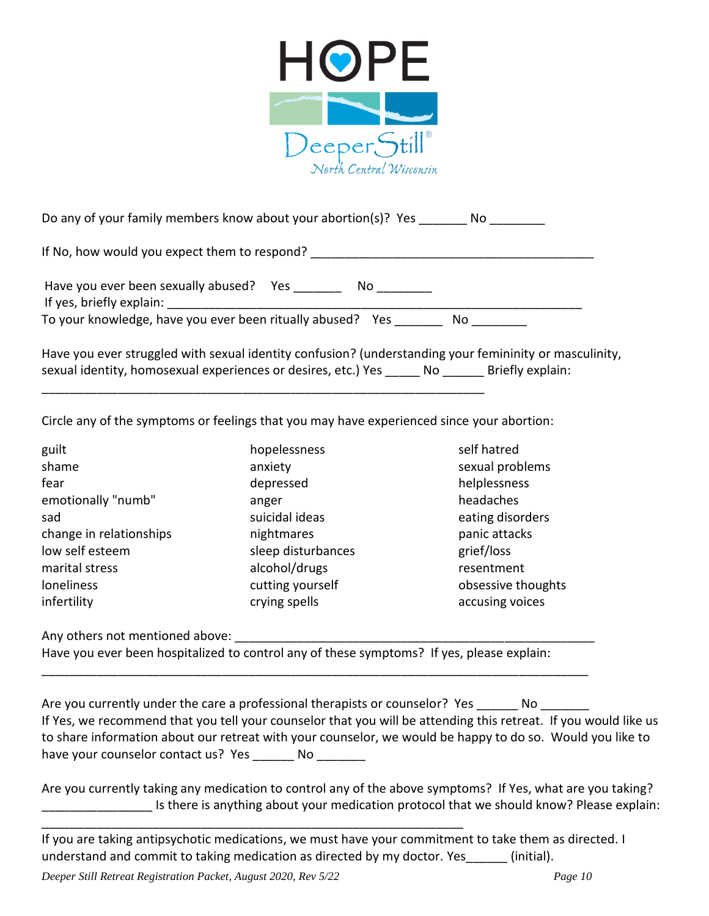

Do any of your family members know about your abortion(s)? Yes \_\_\_\_\_\_\_ No

If No, how would you expect them to respond?

Have you ever been sexually abused? Yes \_\_\_\_\_\_\_\_\_ No \_\_\_\_\_\_\_\_

If yes, briefly explain:

To your knowledge, have you ever been ritually abused? Yes \_\_\_\_\_\_\_ No \_\_\_\_\_\_\_\_

Have you ever struggled with sexual identity confusion? (understanding your femininity or masculinity, sexual identity, homosexual experiences or desires, etc.) Yes \_\_\_\_\_\_ No \_\_\_\_\_\_ Briefly explain:

Circle any of the symptoms or feelings that you may have experienced since your abortion:

\_\_\_\_\_\_\_\_\_\_\_\_\_\_\_\_\_\_\_\_\_\_\_\_\_\_\_\_\_\_\_\_\_\_\_\_\_\_\_\_\_\_\_\_\_\_\_\_\_\_\_\_\_\_\_\_\_\_\_\_\_\_\_\_

guilt hopelessness self hatred shame anxiety sexual problems sexual problems fear depressed helplessness emotionally "numb" anger anger headaches sad suicidal ideas eating disorders in the suicidal ideas and the eating disorders change in relationships mightmares by the panic attacks panic attacks low self esteem sleep disturbances grief/loss marital stress alcohol/drugs resentment loneliness cutting yourself obsessive thoughts infertility **crying spells** accusing voices and the set of the crying spells and the set of the set of the set o

Any others not mentioned above:

Have you ever been hospitalized to control any of these symptoms? If yes, please explain:

\_\_\_\_\_\_\_\_\_\_\_\_\_\_\_\_\_\_\_\_\_\_\_\_\_\_\_\_\_\_\_\_\_\_\_\_\_\_\_\_\_\_\_\_\_\_\_\_\_\_\_\_\_\_\_\_\_\_\_\_\_\_\_\_\_\_\_\_\_\_\_\_\_\_\_\_\_\_\_

Are you currently under the care a professional therapists or counselor? Yes No If Yes, we recommend that you tell your counselor that you will be attending this retreat. If you would like us to share information about our retreat with your counselor, we would be happy to do so. Would you like to have your counselor contact us? Yes No

Are you currently taking any medication to control any of the above symptoms? If Yes, what are you taking? Is there is anything about your medication protocol that we should know? Please explain:

If you are taking antipsychotic medications, we must have your commitment to take them as directed. I understand and commit to taking medication as directed by my doctor. Yes [initial].

*Deeper Still Retreat Registration Packet, August 2020, Rev 5/22 Page 10*

\_\_\_\_\_\_\_\_\_\_\_\_\_\_\_\_\_\_\_\_\_\_\_\_\_\_\_\_\_\_\_\_\_\_\_\_\_\_\_\_\_\_\_\_\_\_\_\_\_\_\_\_\_\_\_\_\_\_\_\_\_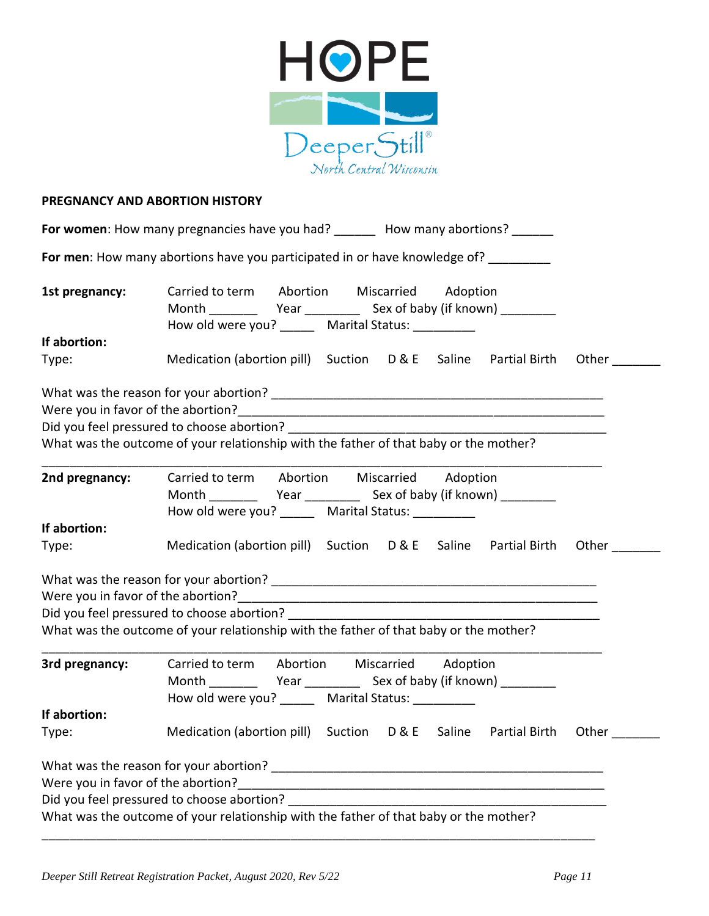

### **PREGNANCY AND ABORTION HISTORY**

|                                    | For women: How many pregnancies have you had? _______ How many abortions? ______                |
|------------------------------------|-------------------------------------------------------------------------------------------------|
|                                    | For men: How many abortions have you participated in or have knowledge of? ________             |
| 1st pregnancy:                     | Carried to term Abortion Miscarried Adoption                                                    |
|                                    | How old were you? _______ Marital Status: __________                                            |
| If abortion:                       |                                                                                                 |
| Type:                              | Medication (abortion pill) Suction D & E Saline Partial Birth<br>Other                          |
|                                    |                                                                                                 |
|                                    |                                                                                                 |
|                                    |                                                                                                 |
|                                    | What was the outcome of your relationship with the father of that baby or the mother?           |
| 2nd pregnancy:                     | Carried to term Abortion Miscarried Adoption                                                    |
|                                    | How old were you? _______ Marital Status: _________                                             |
| If abortion:                       |                                                                                                 |
| Type:                              | Medication (abortion pill) Suction D & E Saline Partial Birth<br>Other                          |
|                                    |                                                                                                 |
|                                    |                                                                                                 |
|                                    |                                                                                                 |
|                                    | What was the outcome of your relationship with the father of that baby or the mother?           |
| 3rd pregnancy:                     | Carried to term Abortion Miscarried Adoption                                                    |
|                                    |                                                                                                 |
|                                    | How old were you? _______ Marital Status: __                                                    |
| If abortion:                       |                                                                                                 |
| Type:                              | Medication (abortion pill) Suction<br><b>D&amp;E</b><br>Saline<br><b>Partial Birth</b><br>Other |
|                                    |                                                                                                 |
| Were you in favor of the abortion? |                                                                                                 |
|                                    |                                                                                                 |
|                                    | What was the outcome of your relationship with the father of that baby or the mother?           |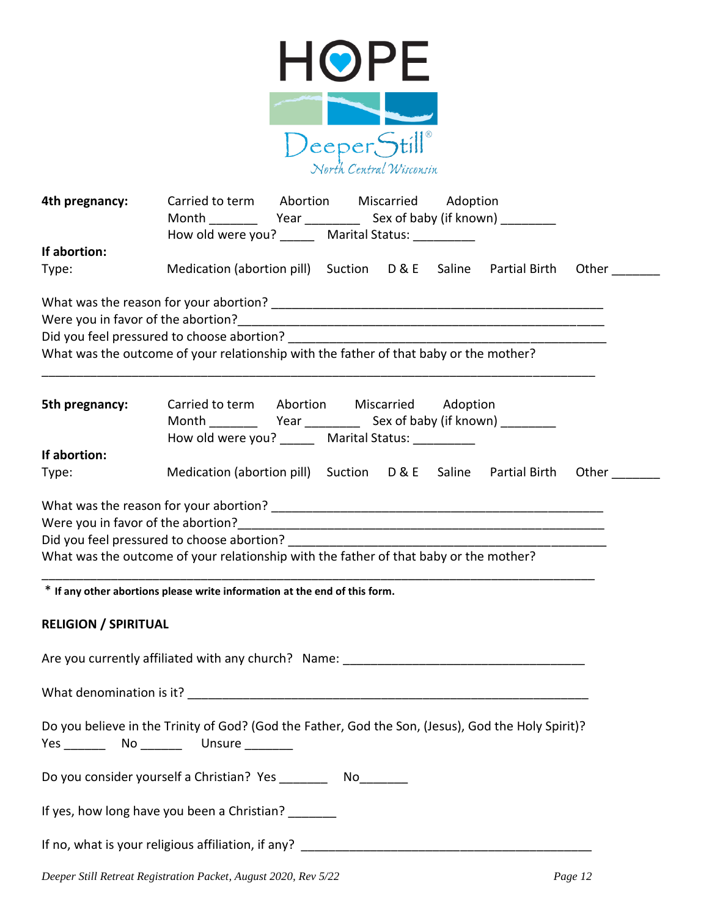

| 4th pregnancy:<br>If abortion: | Carried to term Abortion Miscarried Adoption<br>How old were you? _______ Marital Status:                                                                                                                                                                                                                                                                                                             |  |  |  |
|--------------------------------|-------------------------------------------------------------------------------------------------------------------------------------------------------------------------------------------------------------------------------------------------------------------------------------------------------------------------------------------------------------------------------------------------------|--|--|--|
| Type:                          | Medication (abortion pill) Suction D & E Saline Partial Birth<br>Other                                                                                                                                                                                                                                                                                                                                |  |  |  |
|                                | What was the outcome of your relationship with the father of that baby or the mother?                                                                                                                                                                                                                                                                                                                 |  |  |  |
| 5th pregnancy:                 | Carried to term Abortion Miscarried Adoption<br>How old were you? _______ Marital Status: _________                                                                                                                                                                                                                                                                                                   |  |  |  |
| If abortion:                   |                                                                                                                                                                                                                                                                                                                                                                                                       |  |  |  |
| Type:                          | Medication (abortion pill) Suction D & E Saline Partial Birth<br>Other                                                                                                                                                                                                                                                                                                                                |  |  |  |
|                                | What was the reason for your abortion? The state of the state of the state of the state of the state of the state of the state of the state of the state of the state of the state of the state of the state of the state of t<br>What was the outcome of your relationship with the father of that baby or the mother?<br>* If any other abortions please write information at the end of this form. |  |  |  |
| <b>RELIGION / SPIRITUAL</b>    |                                                                                                                                                                                                                                                                                                                                                                                                       |  |  |  |
|                                | Are you currently affiliated with any church? Name: ____________________________                                                                                                                                                                                                                                                                                                                      |  |  |  |
| What denomination is it?       |                                                                                                                                                                                                                                                                                                                                                                                                       |  |  |  |
|                                | Do you believe in the Trinity of God? (God the Father, God the Son, (Jesus), God the Holy Spirit)?                                                                                                                                                                                                                                                                                                    |  |  |  |
|                                | Do you consider yourself a Christian? Yes ___________ No_________                                                                                                                                                                                                                                                                                                                                     |  |  |  |
|                                | If yes, how long have you been a Christian?                                                                                                                                                                                                                                                                                                                                                           |  |  |  |
|                                |                                                                                                                                                                                                                                                                                                                                                                                                       |  |  |  |